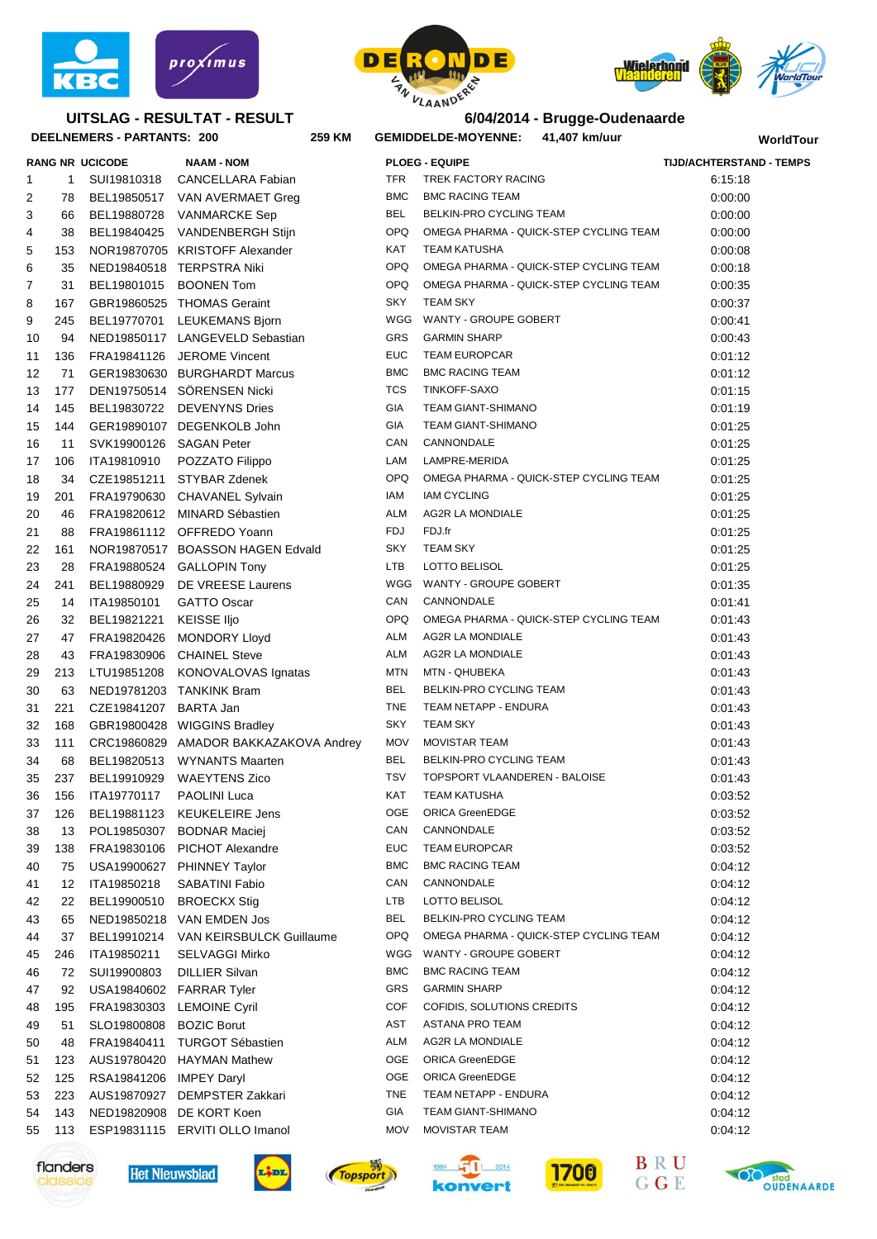

## **UITSLAG - RESULTAT - RESULT**





**WorldTour**

|          |     | DEELNEMERS - PARTANTS: 200 | 259 KM                                        | <b>GEMIDDELDE-MOYENNE:</b> |                                      | 41,407 km/uur                          | WorldTor                        |  |
|----------|-----|----------------------------|-----------------------------------------------|----------------------------|--------------------------------------|----------------------------------------|---------------------------------|--|
|          |     | <b>RANG NR UCICODE</b>     | <b>NAAM - NOM</b>                             |                            | <b>PLOEG - EQUIPE</b>                |                                        | <b>TIJD/ACHTERSTAND - TEMPS</b> |  |
| 1        | 1   | SUI19810318                | <b>CANCELLARA Fabian</b>                      | TFR                        | TREK FACTORY RACING                  |                                        | 6:15:18                         |  |
| 2        | 78  |                            | BEL19850517 VAN AVERMAET Greg                 | BMC                        | <b>BMC RACING TEAM</b>               |                                        | 0:00:00                         |  |
| 3        | 66  |                            | BEL19880728 VANMARCKE Sep                     | <b>BEL</b>                 | BELKIN-PRO CYCLING TEAM              |                                        | 0:00:00                         |  |
| 4        | 38  |                            | BEL19840425 VANDENBERGH Stijn                 | OPQ                        |                                      | OMEGA PHARMA - QUICK-STEP CYCLING TEAM | 0:00:00                         |  |
| 5        | 153 |                            | NOR19870705 KRISTOFF Alexander                | KAT                        | <b>TEAM KATUSHA</b>                  |                                        | 0:00:08                         |  |
| 6        | 35  |                            | NED19840518 TERPSTRA Niki                     | OPQ                        |                                      | OMEGA PHARMA - QUICK-STEP CYCLING TEAM | 0:00:18                         |  |
| 7        | 31  |                            | BEL19801015 BOONEN Tom                        | <b>OPQ</b>                 |                                      | OMEGA PHARMA - QUICK-STEP CYCLING TEAM | 0:00:35                         |  |
| 8        | 167 |                            | GBR19860525 THOMAS Geraint                    | SKY                        | <b>TEAM SKY</b>                      |                                        | 0:00:37                         |  |
| 9        | 245 |                            | BEL19770701 LEUKEMANS Bjorn                   | WGG                        | WANTY - GROUPE GOBERT                |                                        | 0:00:41                         |  |
| 10       | 94  |                            | NED19850117 LANGEVELD Sebastian               | <b>GRS</b>                 | <b>GARMIN SHARP</b>                  |                                        | 0:00:43                         |  |
| 11       | 136 |                            | FRA19841126 JEROME Vincent                    | <b>EUC</b>                 | <b>TEAM EUROPCAR</b>                 |                                        | 0:01:12                         |  |
| 12       | 71  |                            | GER19830630 BURGHARDT Marcus                  | <b>BMC</b>                 | <b>BMC RACING TEAM</b>               |                                        | 0:01:12                         |  |
| 13       | 177 |                            | DEN19750514 SÖRENSEN Nicki                    | <b>TCS</b>                 | TINKOFF-SAXO                         |                                        | 0:01:15                         |  |
| 14       | 145 |                            | BEL19830722 DEVENYNS Dries                    | <b>GIA</b>                 | <b>TEAM GIANT-SHIMANO</b>            |                                        | 0:01:19                         |  |
| 15       | 144 |                            | GER19890107 DEGENKOLB John                    | <b>GIA</b>                 | TEAM GIANT-SHIMANO                   |                                        | 0:01:25                         |  |
| 16       | 11  | SVK19900126 SAGAN Peter    |                                               | CAN                        | CANNONDALE                           |                                        | 0:01:25                         |  |
| 17       | 106 | ITA19810910                | POZZATO Filippo                               | LAM                        | LAMPRE-MERIDA                        |                                        | 0:01:25                         |  |
| 18       | 34  |                            | CZE19851211 STYBAR Zdenek                     | <b>OPQ</b>                 |                                      | OMEGA PHARMA - QUICK-STEP CYCLING TEAM | 0:01:25                         |  |
| 19       | 201 |                            | FRA19790630 CHAVANEL Sylvain                  | IAM                        | <b>IAM CYCLING</b>                   |                                        | 0:01:25                         |  |
| 20       | 46  |                            | FRA19820612 MINARD Sébastien                  | ALM                        | <b>AG2R LA MONDIALE</b>              |                                        | 0:01:25                         |  |
| 21       | 88  |                            | FRA19861112 OFFREDO Yoann                     | FDJ                        | FDJ fr                               |                                        | 0:01:25                         |  |
| 22       | 161 |                            | NOR19870517 BOASSON HAGEN Edvald              | <b>SKY</b>                 | <b>TEAM SKY</b>                      |                                        | 0:01:25                         |  |
| 23       | 28  |                            | FRA19880524 GALLOPIN Tony                     | LTB                        | LOTTO BELISOL                        |                                        | 0:01:25                         |  |
| 24       | 241 |                            | BEL19880929 DE VREESE Laurens                 | WGG                        | WANTY - GROUPE GOBERT                |                                        | 0:01:35                         |  |
| 25       | 14  | ITA19850101                | <b>GATTO Oscar</b>                            | CAN                        | CANNONDALE                           |                                        | 0:01:41                         |  |
| 26       | 32  | BEL19821221                | <b>KEISSE Iljo</b>                            | <b>OPQ</b>                 |                                      | OMEGA PHARMA - QUICK-STEP CYCLING TEAM | 0:01:43                         |  |
| 27       | 47  |                            | FRA19820426 MONDORY Lloyd                     | ALM                        | AG2R LA MONDIALE                     |                                        | 0:01:43                         |  |
| 28       | 43  |                            | FRA19830906 CHAINEL Steve                     | ALM                        | AG2R LA MONDIALE                     |                                        | 0:01:43                         |  |
| 29       | 213 |                            | LTU19851208 KONOVALOVAS Ignatas               | MTN                        | MTN - QHUBEKA                        |                                        | 0:01:43                         |  |
| 30       | 63  |                            | NED19781203 TANKINK Bram                      | BEL                        | BELKIN-PRO CYCLING TEAM              |                                        | 0:01:43                         |  |
| 31       | 221 | CZE19841207 BARTA Jan      |                                               | <b>TNE</b>                 | TEAM NETAPP - ENDURA                 |                                        | 0:01:43                         |  |
| 32       | 168 |                            | GBR19800428 WIGGINS Bradley                   | <b>SKY</b>                 | <b>TEAM SKY</b>                      |                                        | 0:01:43                         |  |
| 33       | 111 |                            | CRC19860829 AMADOR BAKKAZAKOVA Andrey         | <b>MOV</b>                 | <b>MOVISTAR TEAM</b>                 |                                        | 0:01:43                         |  |
| 34       | 68  |                            | BEL19820513 WYNANTS Maarten                   | <b>BEL</b>                 | BELKIN-PRO CYCLING TEAM              |                                        | 0:01:43                         |  |
| 35       | 237 |                            | BEL19910929 WAEYTENS Zico                     | <b>TSV</b>                 | <b>TOPSPORT VLAANDEREN - BALOISE</b> |                                        | 0:01:43                         |  |
| 36       | 156 | ITA19770117                | PAOLINI Luca                                  | KAT                        | <b>TEAM KATUSHA</b>                  |                                        | 0:03:52                         |  |
| 37       | 126 | BEL19881123                | <b>KEUKELEIRE Jens</b>                        | OGE                        | <b>ORICA GreenEDGE</b>               |                                        | 0:03:52                         |  |
| 38       | 13  | POL19850307                | <b>BODNAR Maciej</b>                          | CAN                        | CANNONDALE                           |                                        | 0:03:52                         |  |
| 39       | 138 | FRA19830106                | PICHOT Alexandre                              | EUC                        | <b>TEAM EUROPCAR</b>                 |                                        | 0:03:52                         |  |
| 40       | 75  | USA19900627                | PHINNEY Taylor                                | <b>BMC</b>                 | <b>BMC RACING TEAM</b>               |                                        | 0:04:12                         |  |
| 41       | 12  | ITA19850218                | SABATINI Fabio                                | CAN                        | CANNONDALE                           |                                        | 0:04:12                         |  |
| 42       | 22  | BEL19900510                | <b>BROECKX Stig</b>                           | LTB                        | LOTTO BELISOL                        |                                        | 0:04:12                         |  |
| 43       | 65  | NED19850218                | VAN EMDEN Jos                                 | <b>BEL</b>                 | BELKIN-PRO CYCLING TEAM              |                                        | 0:04:12                         |  |
| 44       | 37  | BEL19910214                | VAN KEIRSBULCK Guillaume                      | OPQ                        |                                      | OMEGA PHARMA - QUICK-STEP CYCLING TEAM | 0:04:12                         |  |
| 45       | 246 | ITA19850211                | SELVAGGI Mirko                                | WGG                        | WANTY - GROUPE GOBERT                |                                        | 0:04:12                         |  |
| 46       | 72  | SUI19900803                | <b>DILLIER Silvan</b>                         | <b>BMC</b>                 | <b>BMC RACING TEAM</b>               |                                        | 0:04:12                         |  |
| 47       | 92  | USA19840602                | <b>FARRAR Tyler</b>                           | GRS                        | <b>GARMIN SHARP</b>                  |                                        | 0:04:12                         |  |
|          | 195 | FRA19830303                | <b>LEMOINE Cyril</b>                          | COF                        | COFIDIS, SOLUTIONS CREDITS           |                                        | 0:04:12                         |  |
| 48<br>49 | 51  | SLO19800808                | <b>BOZIC Borut</b>                            | AST                        | ASTANA PRO TEAM                      |                                        | 0:04:12                         |  |
| 50       | 48  | FRA19840411                | <b>TURGOT Sébastien</b>                       | ALM                        | AG2R LA MONDIALE                     |                                        | 0:04:12                         |  |
|          | 123 |                            |                                               | OGE                        | <b>ORICA GreenEDGE</b>               |                                        |                                 |  |
| 51       | 125 | AUS19780420                | <b>HAYMAN Mathew</b>                          | OGE                        | ORICA GreenEDGE                      |                                        | 0:04:12                         |  |
| 52       | 223 | RSA19841206                | <b>IMPEY Daryl</b><br><b>DEMPSTER Zakkari</b> | <b>TNE</b>                 | TEAM NETAPP - ENDURA                 |                                        | 0:04:12                         |  |
| 53<br>54 | 143 | AUS19870927<br>NED19820908 | DE KORT Koen                                  | GIA                        | <b>TEAM GIANT-SHIMANO</b>            |                                        | 0:04:12<br>0.04.12              |  |
|          |     | ESP19831115                | ERVITI OLLO Imanol                            | <b>MOV</b>                 | <b>MOVISTAR TEAM</b>                 |                                        |                                 |  |
| 55       | 113 |                            |                                               |                            |                                      |                                        | 0:04:12                         |  |















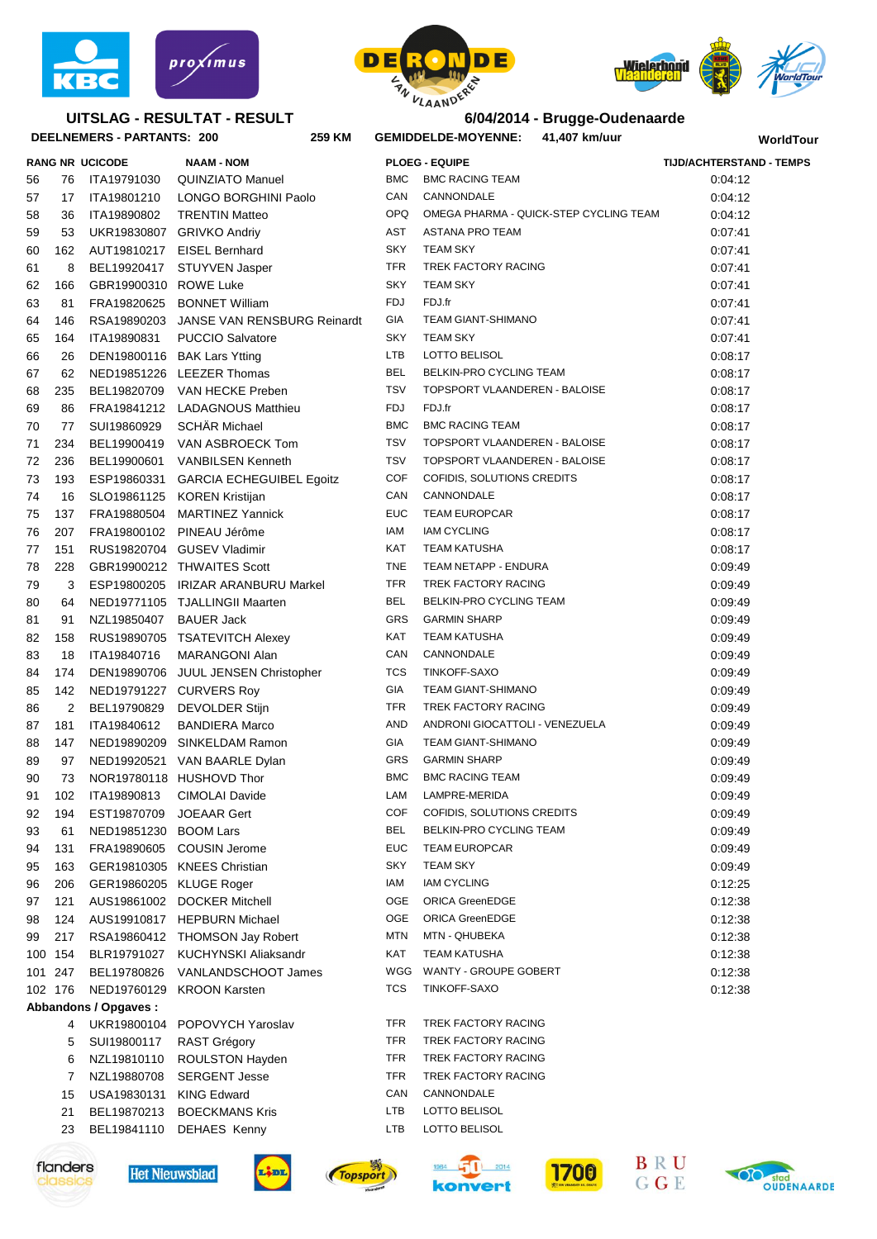

## **UITSLAG - RESULTAT - RESULT**





**RANG NR UCICODE NAAM - NOM PLOEG - EQUIPE TIJD/ACHTERSTAND - TEMPS**

### **6/04/2014 - Brugge-Oudenaarde**

**WorldTour**

| DEELNEMERS - PARTANTS: 200<br>259 KM |         |                         |                                         |                          | GEMIDDELDE-MOYENNE: 41,407 km/uur          |                       |  |
|--------------------------------------|---------|-------------------------|-----------------------------------------|--------------------------|--------------------------------------------|-----------------------|--|
|                                      |         | <b>RANG NR UCICODE</b>  | <b>NAAM - NOM</b>                       |                          | <b>PLOEG - EQUIPE</b>                      | <b>TIJD/ACHTERSTA</b> |  |
| 56                                   | 76      | ITA19791030             | QUINZIATO Manuel                        | BMC                      | <b>BMC RACING TEAM</b>                     | 0:04:12               |  |
| 57                                   | 17      | ITA19801210             | LONGO BORGHINI Paolo                    | CAN                      | CANNONDALE                                 | 0:04:12               |  |
| 58                                   | 36      | ITA19890802             | <b>TRENTIN Matteo</b>                   |                          | OPQ OMEGA PHARMA - QUICK-STEP CYCLING TEAM | 0:04:12               |  |
| 59                                   | 53      | UKR19830807             | <b>GRIVKO Andriv</b>                    | AST                      | ASTANA PRO TEAM                            | 0.07:41               |  |
| 60                                   | 162     | AUT19810217             | <b>EISEL Bernhard</b>                   | SKY                      | <b>TEAM SKY</b>                            | 0:07:41               |  |
| 61                                   | 8       | BEL19920417             | STUYVEN Jasper                          | <b>TFR</b>               | TREK FACTORY RACING                        | 0:07:41               |  |
| 62                                   | 166     | GBR19900310 ROWE Luke   |                                         | <b>SKY</b>               | <b>TEAM SKY</b>                            | 0:07:41               |  |
| 63                                   | 81      | FRA19820625             | <b>BONNET William</b>                   | <b>FDJ</b>               | FDJ.fr                                     | 0:07:41               |  |
| 64                                   | 146     |                         | RSA19890203 JANSE VAN RENSBURG Reinardt | <b>GIA</b>               | TEAM GIANT-SHIMANO                         | 0:07:41               |  |
| 65                                   | 164     | ITA19890831             | PUCCIO Salvatore                        | <b>SKY</b>               | <b>TEAM SKY</b>                            | 0:07:41               |  |
| 66                                   | 26      |                         | DEN19800116 BAK Lars Ytting             | LTB                      | LOTTO BELISOL                              | 0:08:17               |  |
| 67                                   | 62      |                         | NED19851226 LEEZER Thomas               | <b>BEL</b>               | BELKIN-PRO CYCLING TEAM                    | 0:08:17               |  |
| 68                                   | 235     | BEL19820709             | VAN HECKE Preben                        | <b>TSV</b>               | TOPSPORT VLAANDEREN - BALOISE              | 0:08:17               |  |
| 69                                   | 86      |                         | FRA19841212 LADAGNOUS Matthieu          | FDJ                      | FDJ.fr                                     | 0:08:17               |  |
| 70                                   | 77      | SUI19860929             | <b>SCHÄR Michael</b>                    | <b>BMC</b>               | <b>BMC RACING TEAM</b>                     | 0:08:17               |  |
| 71                                   | 234     |                         | BEL19900419 VAN ASBROECK Tom            | <b>TSV</b>               | TOPSPORT VLAANDEREN - BALOISE              | 0:08:17               |  |
| 72                                   | 236     | BEL19900601             | <b>VANBILSEN Kenneth</b>                | <b>TSV</b>               | TOPSPORT VLAANDEREN - BALOISE              | 0:08:17               |  |
| 73                                   | 193     | ESP19860331             | <b>GARCIA ECHEGUIBEL Egoitz</b>         | COF                      | COFIDIS, SOLUTIONS CREDITS                 | 0:08:17               |  |
| 74                                   | 16      | SLO19861125             | <b>KOREN Kristijan</b>                  | CAN                      | CANNONDALE                                 | 0:08:17               |  |
| 75                                   | 137     | FRA19880504             | <b>MARTINEZ Yannick</b>                 | <b>EUC</b>               | <b>TEAM EUROPCAR</b>                       | 0:08:17               |  |
| 76                                   | 207     | FRA19800102             | PINEAU Jérôme                           | IAM                      | <b>IAM CYCLING</b>                         | 0:08:17               |  |
| 77                                   | 151     |                         | RUS19820704 GUSEV Vladimir              | KAT                      | TEAM KATUSHA                               | 0:08:17               |  |
| 78                                   | 228     |                         | GBR19900212 THWAITES Scott              | <b>TNE</b>               | TEAM NETAPP - ENDURA                       | 0:09:49               |  |
| 79                                   | 3       |                         | ESP19800205 IRIZAR ARANBURU Markel      | <b>TFR</b>               | TREK FACTORY RACING                        | 0:09:49               |  |
| 80                                   | 64      |                         | NED19771105 TJALLINGII Maarten          | <b>BEL</b>               | BELKIN-PRO CYCLING TEAM                    | 0:09:49               |  |
| 81                                   | 91      | NZL19850407             | <b>BAUER Jack</b>                       | GRS                      | <b>GARMIN SHARP</b>                        | 0:09:49               |  |
| 82                                   | 158     |                         | RUS19890705 TSATEVITCH Alexey           | KAT                      | TEAM KATUSHA                               | 0:09:49               |  |
| 83                                   | 18      | ITA19840716             | MARANGONI Alan                          | CAN                      | CANNONDALE                                 | 0:09:49               |  |
| 84                                   | 174     |                         | DEN19890706 JUUL JENSEN Christopher     | <b>TCS</b>               | TINKOFF-SAXO                               | 0:09:49               |  |
| 85                                   | 142     |                         | NED19791227 CURVERS Roy                 | <b>GIA</b>               | TEAM GIANT-SHIMANO                         | 0:09:49               |  |
| 86                                   | 2       | BEL19790829             | DEVOLDER Stijn                          | <b>TFR</b>               | TREK FACTORY RACING                        | 0:09:49               |  |
| 87                                   | 181     | ITA19840612             | <b>BANDIERA Marco</b>                   | AND                      | ANDRONI GIOCATTOLI - VENEZUELA             | 0:09:49               |  |
| 88                                   | 147     |                         | NED19890209 SINKELDAM Ramon             | <b>GIA</b>               | <b>TEAM GIANT-SHIMANO</b>                  | 0:09:49               |  |
| 89                                   | 97      |                         | NED19920521 VAN BAARLE Dylan            | GRS                      | <b>GARMIN SHARP</b>                        | 0:09:49               |  |
| 90                                   | 73      |                         | NOR19780118 HUSHOVD Thor                | <b>BMC</b>               | <b>BMC RACING TEAM</b>                     | 0:09:49               |  |
| 91                                   | 102     | ITA19890813             | CIMOLAI Davide                          | LAM                      | LAMPRE-MERIDA                              | 0.09.49               |  |
| 92                                   | 194     | EST19870709             | <b>JOEAAR Gert</b>                      | COF                      | COFIDIS, SOLUTIONS CREDITS                 | 0:09:49               |  |
| 93                                   | 61      | NED19851230             | <b>BOOM Lars</b>                        | <b>BEL</b>               | BELKIN-PRO CYCLING TEAM                    | 0:09:49               |  |
| 94                                   | 131     | FRA19890605             | <b>COUSIN Jerome</b>                    | <b>EUC</b>               | <b>TEAM EUROPCAR</b>                       | 0:09:49               |  |
| 95                                   | 163     |                         | GER19810305 KNEES Christian             | <b>SKY</b>               | <b>TEAM SKY</b><br><b>IAM CYCLING</b>      | 0:09:49               |  |
| 96                                   | 206     | GER19860205 KLUGE Roger |                                         | IAM                      |                                            | 0:12:25               |  |
| 97                                   | 121     | AUS19861002             | <b>DOCKER Mitchell</b>                  | <b>OGE</b>               | <b>ORICA GreenEDGE</b>                     | 0:12:38               |  |
| 98                                   | 124     |                         | AUS19910817 HEPBURN Michael             | OGE                      | <b>ORICA GreenEDGE</b>                     | 0:12:38               |  |
| 99                                   | 217     |                         | RSA19860412 THOMSON Jay Robert          | <b>MTN</b>               | MTN - QHUBEKA                              | 0:12:38               |  |
|                                      | 100 154 | BLR19791027             | KUCHYNSKI Aliaksandr                    | KAT                      | <b>TEAM KATUSHA</b>                        | 0:12:38               |  |
|                                      | 101 247 | BEL19780826             | VANLANDSCHOOT James                     | WGG                      | WANTY - GROUPE GOBERT                      | 0:12:38               |  |
|                                      | 102 176 | NED19760129             | <b>KROON Karsten</b>                    | TCS                      | TINKOFF-SAXO                               | 0:12:38               |  |
|                                      |         | Abbandons / Opgaves :   |                                         |                          |                                            |                       |  |
|                                      | 4       | UKR19800104             | POPOVYCH Yaroslav                       | <b>TFR</b><br><b>TFR</b> | TREK FACTORY RACING                        |                       |  |
|                                      | 5       | SUI19800117             | RAST Grégory                            |                          | TREK FACTORY RACING                        |                       |  |
|                                      | 6       | NZL19810110             | ROULSTON Hayden                         | <b>TFR</b>               | TREK FACTORY RACING                        |                       |  |
|                                      | 7       | NZL19880708             | <b>SERGENT Jesse</b>                    | <b>TFR</b>               | TREK FACTORY RACING                        |                       |  |
|                                      | 15      | USA19830131             | <b>KING Edward</b>                      | CAN                      | CANNONDALE                                 |                       |  |
|                                      | 21      | BEL19870213             | <b>BOECKMANS Kris</b>                   | LTB                      | LOTTO BELISOL                              |                       |  |
|                                      | 23      | BEL19841110             | <b>DEHAES Kenny</b>                     | LTB                      | LOTTO BELISOL                              |                       |  |















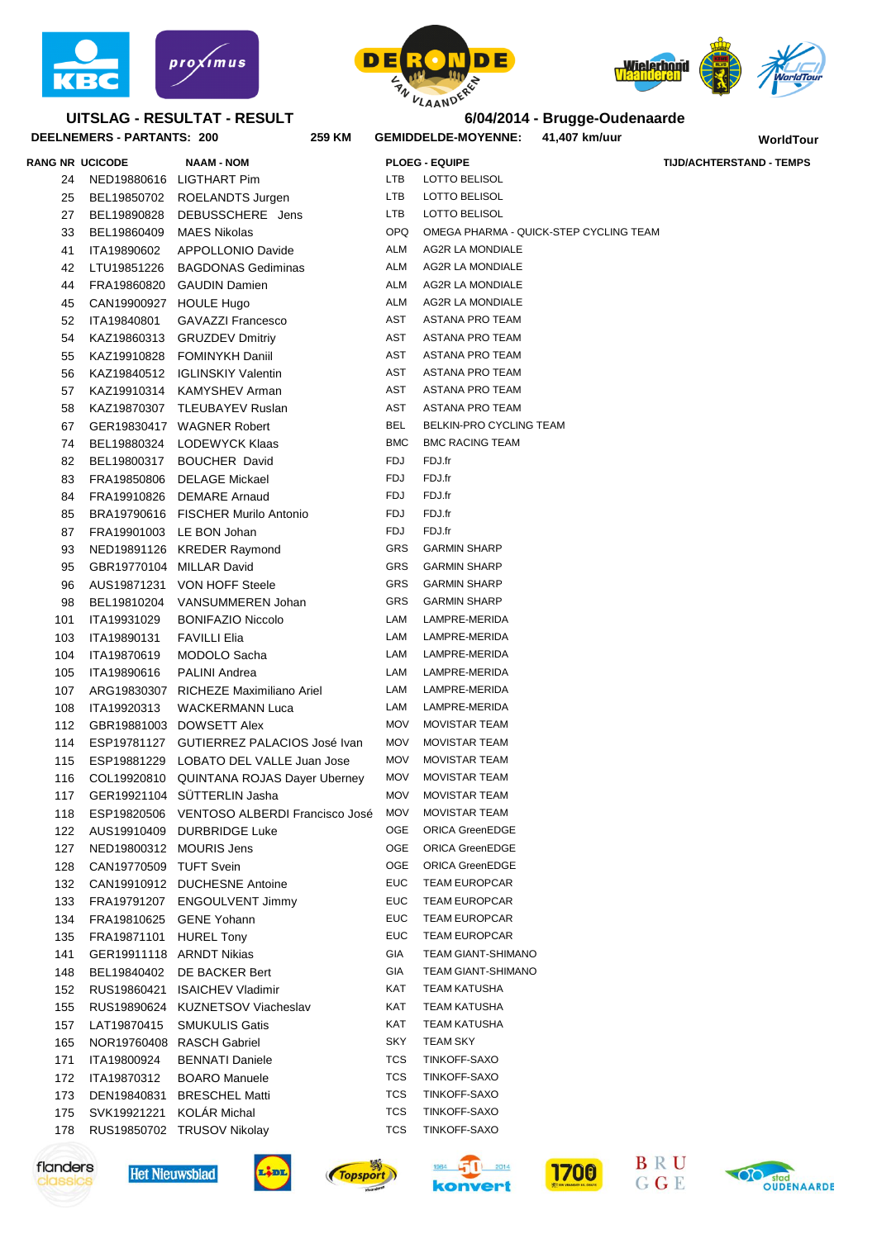

## **UITSLAG - RESULTAT - RESULT**







|                 | DEELNEMERS - PARTANTS: 200 | 259 KM                                   |            | <b>GEMIDDELDE-MOYENNE:</b> | 41,407 km/uur                          | WorldTour                       |
|-----------------|----------------------------|------------------------------------------|------------|----------------------------|----------------------------------------|---------------------------------|
| RANG NR UCICODE |                            | <b>NAAM - NOM</b>                        |            | <b>PLOEG - EQUIPE</b>      |                                        | <b>TIJD/ACHTERSTAND - TEMPS</b> |
| 24              |                            | NED19880616 LIGTHART Pim                 | LTB        | LOTTO BELISOL              |                                        |                                 |
| 25              |                            | BEL19850702 ROELANDTS Jurgen             | LTB        | LOTTO BELISOL              |                                        |                                 |
| 27              |                            | BEL19890828 DEBUSSCHERE Jens             | LTB        | LOTTO BELISOL              |                                        |                                 |
| 33              | BEL19860409 MAES Nikolas   |                                          | OPQ.       |                            | OMEGA PHARMA - QUICK-STEP CYCLING TEAM |                                 |
| 41              | ITA19890602                | APPOLLONIO Davide                        | ALM        | AG2R LA MONDIALE           |                                        |                                 |
| 42              |                            | LTU19851226 BAGDONAS Gediminas           | ALM        | AG2R LA MONDIALE           |                                        |                                 |
| 44              |                            | FRA19860820 GAUDIN Damien                | ALM        | AG2R LA MONDIALE           |                                        |                                 |
| 45              | CAN19900927 HOULE Hugo     |                                          | ALM        | AG2R LA MONDIALE           |                                        |                                 |
| 52              | ITA19840801                | <b>GAVAZZI Francesco</b>                 | AST        | ASTANA PRO TEAM            |                                        |                                 |
| 54              |                            | KAZ19860313 GRUZDEV Dmitriy              | AST        | ASTANA PRO TEAM            |                                        |                                 |
| 55              |                            | KAZ19910828 FOMINYKH Daniil              | AST        | ASTANA PRO TEAM            |                                        |                                 |
| 56              |                            | KAZ19840512 IGLINSKIY Valentin           | AST        | ASTANA PRO TEAM            |                                        |                                 |
| 57              |                            | KAZ19910314 KAMYSHEV Arman               | AST        | ASTANA PRO TEAM            |                                        |                                 |
| 58              |                            | KAZ19870307 TLEUBAYEV Ruslan             | AST        | ASTANA PRO TEAM            |                                        |                                 |
| 67              |                            | GER19830417 WAGNER Robert                | <b>BEL</b> | BELKIN-PRO CYCLING TEAM    |                                        |                                 |
| 74              |                            | BEL19880324 LODEWYCK Klaas               | <b>BMC</b> | <b>BMC RACING TEAM</b>     |                                        |                                 |
| 82              |                            | BEL19800317 BOUCHER David                | FDJ        | FDJ.fr                     |                                        |                                 |
| 83              |                            | FRA19850806 DELAGE Mickael               | FDJ        | FDJ.fr                     |                                        |                                 |
| 84              |                            | FRA19910826 DEMARE Arnaud                | FDJ        | FDJ.fr                     |                                        |                                 |
| 85              |                            | BRA19790616 FISCHER Murilo Antonio       | FDJ        | FDJ.fr                     |                                        |                                 |
|                 |                            |                                          | FDJ        | FDJ.fr                     |                                        |                                 |
| 87<br>93        |                            | FRA19901003 LE BON Johan                 | GRS        | <b>GARMIN SHARP</b>        |                                        |                                 |
|                 |                            | NED19891126 KREDER Raymond               | GRS        | <b>GARMIN SHARP</b>        |                                        |                                 |
| 95              | GBR19770104 MILLAR David   |                                          | GRS        |                            |                                        |                                 |
| 96              |                            | AUS19871231 VON HOFF Steele              |            | <b>GARMIN SHARP</b>        |                                        |                                 |
| 98              |                            | BEL19810204 VANSUMMEREN Johan            | GRS        | <b>GARMIN SHARP</b>        |                                        |                                 |
| 101             | ITA19931029                | <b>BONIFAZIO Niccolo</b>                 | LAM        | LAMPRE-MERIDA              |                                        |                                 |
| 103             | ITA19890131                | <b>FAVILLI Elia</b>                      | LAM        | LAMPRE-MERIDA              |                                        |                                 |
| 104             | ITA19870619                | MODOLO Sacha                             | LAM        | LAMPRE-MERIDA              |                                        |                                 |
| 105             | ITA19890616                | <b>PALINI Andrea</b>                     | LAM        | LAMPRE-MERIDA              |                                        |                                 |
| 107             |                            | ARG19830307 RICHEZE Maximiliano Ariel    | LAM        | LAMPRE-MERIDA              |                                        |                                 |
| 108             | ITA19920313                | <b>WACKERMANN Luca</b>                   | LAM        | LAMPRE-MERIDA              |                                        |                                 |
| 112             |                            | GBR19881003 DOWSETT Alex                 | MOV        | MOVISTAR TEAM              |                                        |                                 |
| 114             |                            | ESP19781127 GUTIERREZ PALACIOS José Ivan | MOV        | MOVISTAR TEAM              |                                        |                                 |
| 115             |                            | ESP19881229 LOBATO DEL VALLE Juan Jose   | MOV        | <b>MOVISTAR TEAM</b>       |                                        |                                 |
| 116             |                            | COL19920810 QUINTANA ROJAS Dayer Uberney | MOV        | <b>MOVISTAR TEAM</b>       |                                        |                                 |
| 117             |                            | GER19921104 SÜTTERLIN Jasha              | <b>MOV</b> | <b>MOVISTAR TEAM</b>       |                                        |                                 |
| 118             | ESP19820506                | VENTOSO ALBERDI Francisco José           | MOV        | <b>MOVISTAR TEAM</b>       |                                        |                                 |
| 122             | AUS19910409                | <b>DURBRIDGE Luke</b>                    | OGE        | <b>ORICA GreenEDGE</b>     |                                        |                                 |
| 127             | NED19800312 MOURIS Jens    |                                          | <b>OGE</b> | <b>ORICA GreenEDGE</b>     |                                        |                                 |
| 128             | CAN19770509 TUFT Svein     |                                          | OGE        | <b>ORICA GreenEDGE</b>     |                                        |                                 |
| 132             |                            | CAN19910912 DUCHESNE Antoine             | EUC        | <b>TEAM EUROPCAR</b>       |                                        |                                 |
| 133             | FRA19791207                | <b>ENGOULVENT Jimmy</b>                  | <b>EUC</b> | <b>TEAM EUROPCAR</b>       |                                        |                                 |
| 134             | FRA19810625                | <b>GENE Yohann</b>                       | <b>EUC</b> | <b>TEAM EUROPCAR</b>       |                                        |                                 |
| 135             | FRA19871101                | <b>HUREL Tony</b>                        | <b>EUC</b> | <b>TEAM EUROPCAR</b>       |                                        |                                 |
| 141             |                            | GER19911118 ARNDT Nikias                 | GIA        | <b>TEAM GIANT-SHIMANO</b>  |                                        |                                 |
| 148             | BEL19840402                | DE BACKER Bert                           | GIA        | <b>TEAM GIANT-SHIMANO</b>  |                                        |                                 |
| 152             |                            | RUS19860421 ISAICHEV Vladimir            | KAT        | <b>TEAM KATUSHA</b>        |                                        |                                 |
| 155             |                            | RUS19890624 KUZNETSOV Viacheslav         | KAT        | <b>TEAM KATUSHA</b>        |                                        |                                 |
| 157             | LAT19870415                | <b>SMUKULIS Gatis</b>                    | KAT        | <b>TEAM KATUSHA</b>        |                                        |                                 |
| 165             |                            | NOR19760408 RASCH Gabriel                | <b>SKY</b> | <b>TEAM SKY</b>            |                                        |                                 |
| 171             | ITA19800924                | <b>BENNATI Daniele</b>                   | TCS        | TINKOFF-SAXO               |                                        |                                 |
| 172             | ITA19870312                | <b>BOARO</b> Manuele                     | TCS        | TINKOFF-SAXO               |                                        |                                 |
| 173             | DEN19840831                | <b>BRESCHEL Matti</b>                    | TCS        | TINKOFF-SAXO               |                                        |                                 |
| 175             | SVK19921221                | <b>KOLÁR Michal</b>                      | TCS        | TINKOFF-SAXO               |                                        |                                 |
| 178             |                            | RUS19850702 TRUSOV Nikolay               | TCS        | TINKOFF-SAXO               |                                        |                                 |